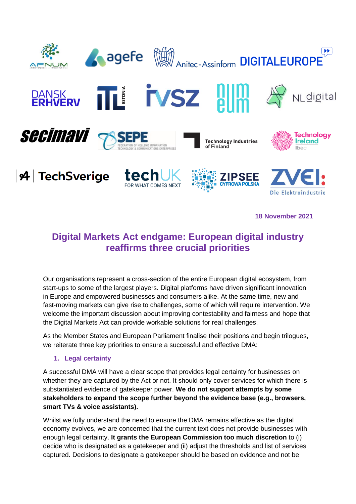

**18 November 2021**

# **Digital Markets Act endgame: European digital industry reaffirms three crucial priorities**

Our organisations represent a cross-section of the entire European digital ecosystem, from start-ups to some of the largest players. Digital platforms have driven significant innovation in Europe and empowered businesses and consumers alike. At the same time, new and fast-moving markets can give rise to challenges, some of which will require intervention. We welcome the important discussion about improving contestability and fairness and hope that the Digital Markets Act can provide workable solutions for real challenges.

As the Member States and European Parliament finalise their positions and begin trilogues, we reiterate three key priorities to ensure a successful and effective DMA:

#### **1. Legal certainty**

A successful DMA will have a clear scope that provides legal certainty for businesses on whether they are captured by the Act or not. It should only cover services for which there is substantiated evidence of gatekeeper power. **We do not support attempts by some stakeholders to expand the scope further beyond the evidence base (e.g., browsers, smart TVs & voice assistants).**

Whilst we fully understand the need to ensure the DMA remains effective as the digital economy evolves, we are concerned that the current text does not provide businesses with enough legal certainty. **It grants the European Commission too much discretion** to (i) decide who is designated as a gatekeeper and (ii) adjust the thresholds and list of services captured. Decisions to designate a gatekeeper should be based on evidence and not be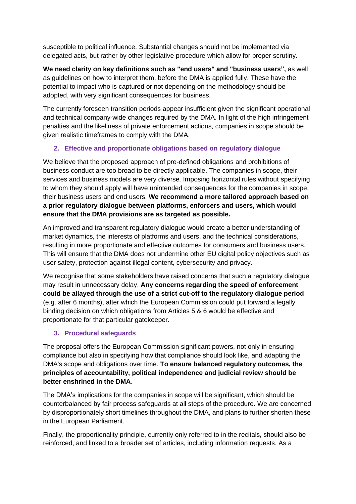susceptible to political influence. Substantial changes should not be implemented via delegated acts, but rather by other legislative procedure which allow for proper scrutiny.

**We need clarity on key definitions such as "end users" and "business users",** as well as guidelines on how to interpret them, before the DMA is applied fully. These have the potential to impact who is captured or not depending on the methodology should be adopted, with very significant consequences for business.

The currently foreseen transition periods appear insufficient given the significant operational and technical company-wide changes required by the DMA. In light of the high infringement penalties and the likeliness of private enforcement actions, companies in scope should be given realistic timeframes to comply with the DMA.

## **2. Effective and proportionate obligations based on regulatory dialogue**

We believe that the proposed approach of pre-defined obligations and prohibitions of business conduct are too broad to be directly applicable. The companies in scope, their services and business models are very diverse. Imposing horizontal rules without specifying to whom they should apply will have unintended consequences for the companies in scope, their business users and end users. **We recommend a more tailored approach based on a prior regulatory dialogue between platforms, enforcers and users, which would ensure that the DMA provisions are as targeted as possible.**

An improved and transparent regulatory dialogue would create a better understanding of market dynamics, the interests of platforms and users, and the technical considerations, resulting in more proportionate and effective outcomes for consumers and business users. This will ensure that the DMA does not undermine other EU digital policy objectives such as user safety, protection against illegal content, cybersecurity and privacy.

We recognise that some stakeholders have raised concerns that such a regulatory dialogue may result in unnecessary delay. **Any concerns regarding the speed of enforcement could be allayed through the use of a strict cut-off to the regulatory dialogue period** (e.g. after 6 months), after which the European Commission could put forward a legally binding decision on which obligations from Articles 5 & 6 would be effective and proportionate for that particular gatekeeper.

## **3. Procedural safeguards**

The proposal offers the European Commission significant powers, not only in ensuring compliance but also in specifying how that compliance should look like, and adapting the DMA's scope and obligations over time. **To ensure balanced regulatory outcomes, the principles of accountability, political independence and judicial review should be better enshrined in the DMA**.

The DMA's implications for the companies in scope will be significant, which should be counterbalanced by fair process safeguards at all steps of the procedure. We are concerned by disproportionately short timelines throughout the DMA, and plans to further shorten these in the European Parliament.

Finally, the proportionality principle, currently only referred to in the recitals, should also be reinforced, and linked to a broader set of articles, including information requests. As a